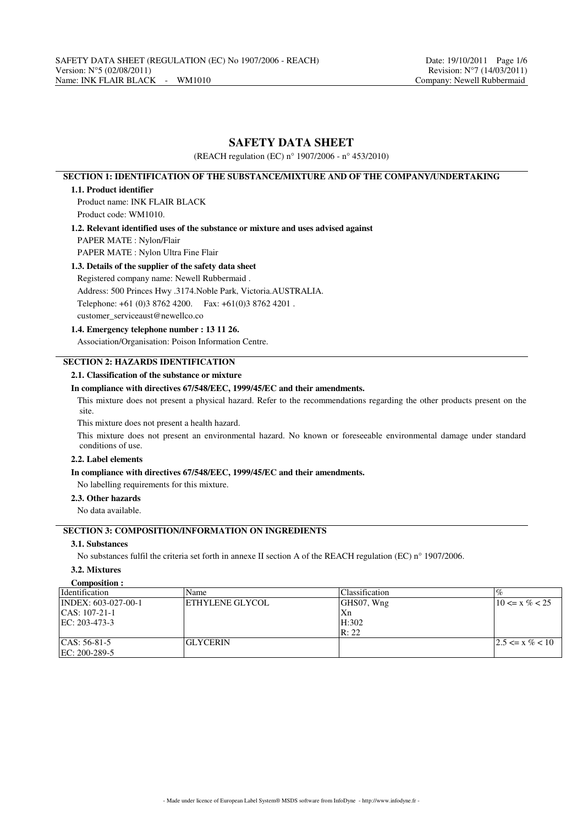# **SAFETY DATA SHEET**

(REACH regulation (EC) n° 1907/2006 - n° 453/2010)

# **SECTION 1: IDENTIFICATION OF THE SUBSTANCE/MIXTURE AND OF THE COMPANY/UNDERTAKING**

### **1.1. Product identifier**

Product name: INK FLAIR BLACK Product code: WM1010.

**1.2. Relevant identified uses of the substance or mixture and uses advised against**

PAPER MATE : Nylon/Flair

PAPER MATE : Nylon Ultra Fine Flair

# **1.3. Details of the supplier of the safety data sheet**

Registered company name: Newell Rubbermaid . Address: 500 Princes Hwy .3174.Noble Park, Victoria.AUSTRALIA. Telephone: +61 (0)3 8762 4200. Fax: +61(0)3 8762 4201 . customer\_serviceaust@newellco.co

## **1.4. Emergency telephone number : 13 11 26.**

Association/Organisation: Poison Information Centre.

# **SECTION 2: HAZARDS IDENTIFICATION**

# **2.1. Classification of the substance or mixture**

## **In compliance with directives 67/548/EEC, 1999/45/EC and their amendments.**

This mixture does not present a physical hazard. Refer to the recommendations regarding the other products present on the site.

This mixture does not present a health hazard.

This mixture does not present an environmental hazard. No known or foreseeable environmental damage under standard conditions of use.

#### **2.2. Label elements**

#### **In compliance with directives 67/548/EEC, 1999/45/EC and their amendments.**

No labelling requirements for this mixture.

# **2.3. Other hazards**

No data available.

# **SECTION 3: COMPOSITION/INFORMATION ON INGREDIENTS**

### **3.1. Substances**

No substances fulfil the criteria set forth in annexe II section A of the REACH regulation (EC) n° 1907/2006.

# **3.2. Mixtures**

# **Composition :**

| <i>dentification</i> | Name            | Classification | $\%$                 |
|----------------------|-----------------|----------------|----------------------|
| INDEX: 603-027-00-1  | ETHYLENE GLYCOL | GHS07, Wng     | $10 \le x \% < 25$   |
| $ CAS: 107-21-1$     |                 | Xn             |                      |
| EC: 203-473-3        |                 | H:302          |                      |
|                      |                 | R: 22          |                      |
| $ CAS: 56-81-5$      | <b>GLYCERIN</b> |                | $12.5 \le x \% < 10$ |
| EC: 200-289-5        |                 |                |                      |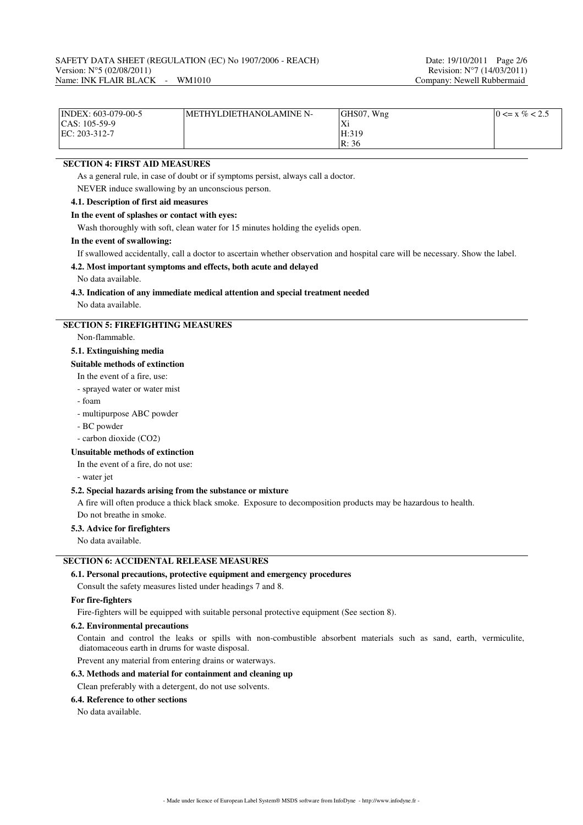| $\text{INDEX: } 603-079-00-5$ | METHYLDIETHANOLAMINE N- | GHS07, Wng                 | $0 \le x \% < 2.5$ |
|-------------------------------|-------------------------|----------------------------|--------------------|
| $ CAS: 105-59-9$              |                         | $\mathbf{V}$<br>$\Delta$ i |                    |
| $EC: 203-312-7$               |                         | H:319                      |                    |
|                               |                         | R: 36                      |                    |

# **SECTION 4: FIRST AID MEASURES**

As a general rule, in case of doubt or if symptoms persist, always call a doctor.

NEVER induce swallowing by an unconscious person.

# **4.1. Description of first aid measures**

#### **In the event of splashes or contact with eyes:**

Wash thoroughly with soft, clean water for 15 minutes holding the eyelids open.

### **In the event of swallowing:**

If swallowed accidentally, call a doctor to ascertain whether observation and hospital care will be necessary. Show the label.

#### **4.2. Most important symptoms and effects, both acute and delayed**

No data available.

# **4.3. Indication of any immediate medical attention and special treatment needed**

No data available.

# **SECTION 5: FIREFIGHTING MEASURES**

Non-flammable.

## **5.1. Extinguishing media**

#### **Suitable methods of extinction**

In the event of a fire, use:

- sprayed water or water mist
- foam
- multipurpose ABC powder
- BC powder
- carbon dioxide (CO2)

#### **Unsuitable methods of extinction**

In the event of a fire, do not use:

- water jet

#### **5.2. Special hazards arising from the substance or mixture**

A fire will often produce a thick black smoke. Exposure to decomposition products may be hazardous to health. Do not breathe in smoke.

#### **5.3. Advice for firefighters**

No data available.

### **SECTION 6: ACCIDENTAL RELEASE MEASURES**

### **6.1. Personal precautions, protective equipment and emergency procedures**

Consult the safety measures listed under headings 7 and 8.

#### **For fire-fighters**

Fire-fighters will be equipped with suitable personal protective equipment (See section 8).

## **6.2. Environmental precautions**

Contain and control the leaks or spills with non-combustible absorbent materials such as sand, earth, vermiculite, diatomaceous earth in drums for waste disposal.

Prevent any material from entering drains or waterways.

### **6.3. Methods and material for containment and cleaning up**

Clean preferably with a detergent, do not use solvents.

#### **6.4. Reference to other sections**

No data available.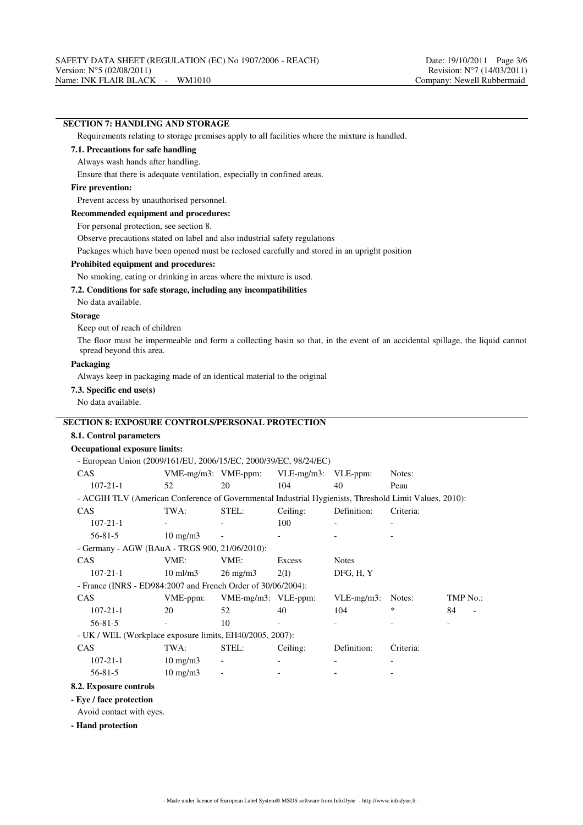- UK / WEL (Workplace exposure limits, EH40/2005, 2007):

 $107-21-1$   $10 \text{ mg/m}$  $56 - 81 - 5$  10 mg/m3

**8.2. Exposure controls - Eye / face protection** Avoid contact with eyes.

**- Hand protection**

CAS TWA: STEL: Ceiling: Definition: Criteria:

# **SECTION 7: HANDLING AND STORAGE** Requirements relating to storage premises apply to all facilities where the mixture is handled. **7.1. Precautions for safe handling** Always wash hands after handling. Ensure that there is adequate ventilation, especially in confined areas. **Fire prevention:** Prevent access by unauthorised personnel. **Recommended equipment and procedures:** For personal protection, see section 8. Observe precautions stated on label and also industrial safety regulations Packages which have been opened must be reclosed carefully and stored in an upright position **Prohibited equipment and procedures:** No smoking, eating or drinking in areas where the mixture is used. **7.2. Conditions for safe storage, including any incompatibilities** No data available. **Storage** Keep out of reach of children The floor must be impermeable and form a collecting basin so that, in the event of an accidental spillage, the liquid cannot spread beyond this area. **Packaging** Always keep in packaging made of an identical material to the original **7.3. Specific end use(s)** No data available. **SECTION 8: EXPOSURE CONTROLS/PERSONAL PROTECTION 8.1. Control parameters Occupational exposure limits:** - European Union (2009/161/EU, 2006/15/EC, 2000/39/EC, 98/24/EC) CAS VME-mg/m3: VME-ppm: VLE-mg/m3: VLE-ppm: Notes: 107-21-1 52 20 104 40 Peau - ACGIH TLV (American Conference of Governmental Industrial Hygienists, Threshold Limit Values, 2010): CAS TWA: STEL: Ceiling: Definition: Criteria: 107-21-1 - - 100 - -  $56-81-5$  10 mg/m3 - - - - - - - - - -- Germany - AGW (BAuA - TRGS 900, 21/06/2010): CAS VME: VME: Excess Notes 107-21-1 10 ml/m3 26 mg/m3 2(I) DFG, H, Y - France (INRS - ED984:2007 and French Order of 30/06/2004): CAS VME-ppm: VME-mg/m3: VLE-ppm: VLE-mg/m3: Notes: TMP No.: 107-21-1 20 52 40 104 \* 84 -  $56-81-5$  - 10 - - - - - - -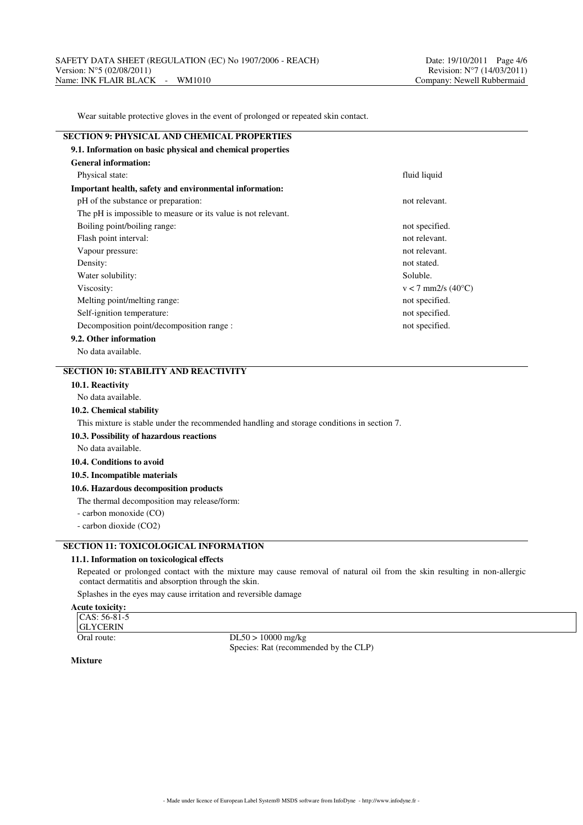Wear suitable protective gloves in the event of prolonged or repeated skin contact.

| <b>SECTION 9: PHYSICAL AND CHEMICAL PROPERTIES</b>            |                                 |
|---------------------------------------------------------------|---------------------------------|
| 9.1. Information on basic physical and chemical properties    |                                 |
| <b>General information:</b>                                   |                                 |
| Physical state:                                               | fluid liquid                    |
| Important health, safety and environmental information:       |                                 |
| pH of the substance or preparation:                           | not relevant.                   |
| The pH is impossible to measure or its value is not relevant. |                                 |
| Boiling point/boiling range:                                  | not specified.                  |
| Flash point interval:                                         | not relevant.                   |
| Vapour pressure:                                              | not relevant.                   |
| Density:                                                      | not stated.                     |
| Water solubility:                                             | Soluble.                        |
| Viscosity:                                                    | $v < 7$ mm2/s (40 $^{\circ}$ C) |
| Melting point/melting range:                                  | not specified.                  |
| Self-ignition temperature:                                    | not specified.                  |
| Decomposition point/decomposition range :                     | not specified.                  |
| 9.2. Other information                                        |                                 |

No data available.

# **SECTION 10: STABILITY AND REACTIVITY**

## **10.1. Reactivity**

No data available.

#### **10.2. Chemical stability**

This mixture is stable under the recommended handling and storage conditions in section 7.

#### **10.3. Possibility of hazardous reactions**

No data available.

### **10.4. Conditions to avoid**

**10.5. Incompatible materials**

### **10.6. Hazardous decomposition products**

The thermal decomposition may release/form:

- carbon monoxide (CO)

- carbon dioxide (CO2)

# **SECTION 11: TOXICOLOGICAL INFORMATION**

#### **11.1. Information on toxicological effects**

Repeated or prolonged contact with the mixture may cause removal of natural oil from the skin resulting in non-allergic contact dermatitis and absorption through the skin.

Splashes in the eyes may cause irritation and reversible damage

# **Acute toxicity:**

| $ CAS: 56-81-5$ |
|-----------------|
| <b>GLYCERIN</b> |
| Oral route:     |

 $DL50 > 10000$  mg/kg Species: Rat (recommended by the CLP)

**Mixture**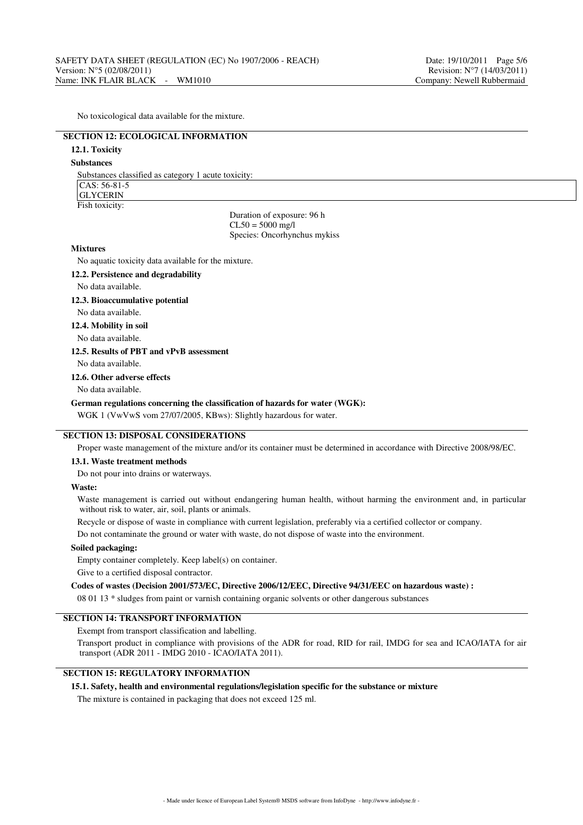No toxicological data available for the mixture.

# **SECTION 12: ECOLOGICAL INFORMATION**

# **12.1. Toxicity**

## **Substances**

Substances classified as category 1 acute toxicity:  $CAS: 56-81-5$ GLYCERIN Fish toxicity:

> Duration of exposure: 96 h  $CL50 = 5000$  mg/l Species: Oncorhynchus mykiss

#### **Mixtures**

No aquatic toxicity data available for the mixture.

**12.2. Persistence and degradability**

#### No data available.

#### **12.3. Bioaccumulative potential**

No data available.

# **12.4. Mobility in soil**

No data available.

#### **12.5. Results of PBT and vPvB assessment**

No data available.

#### **12.6. Other adverse effects**

No data available.

#### **German regulations concerning the classification of hazards for water (WGK):**

WGK 1 (VwVwS vom 27/07/2005, KBws): Slightly hazardous for water.

# **SECTION 13: DISPOSAL CONSIDERATIONS**

Proper waste management of the mixture and/or its container must be determined in accordance with Directive 2008/98/EC.

#### **13.1. Waste treatment methods**

Do not pour into drains or waterways.

#### **Waste:**

Waste management is carried out without endangering human health, without harming the environment and, in particular without risk to water, air, soil, plants or animals.

Recycle or dispose of waste in compliance with current legislation, preferably via a certified collector or company.

Do not contaminate the ground or water with waste, do not dispose of waste into the environment.

#### **Soiled packaging:**

Empty container completely. Keep label(s) on container.

Give to a certified disposal contractor.

### **Codes of wastes (Decision 2001/573/EC, Directive 2006/12/EEC, Directive 94/31/EEC on hazardous waste) :**

08 01 13 \* sludges from paint or varnish containing organic solvents or other dangerous substances

## **SECTION 14: TRANSPORT INFORMATION**

Exempt from transport classification and labelling.

Transport product in compliance with provisions of the ADR for road, RID for rail, IMDG for sea and ICAO/IATA for air transport (ADR 2011 - IMDG 2010 - ICAO/IATA 2011).

# **SECTION 15: REGULATORY INFORMATION**

#### **15.1. Safety, health and environmental regulations/legislation specific for the substance or mixture**

The mixture is contained in packaging that does not exceed 125 ml.